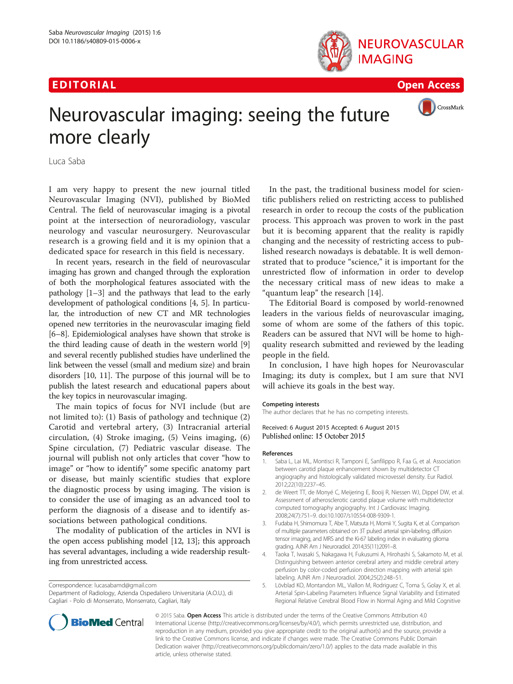## EDI TORIA L Open Access





# Neurovascular imaging: seeing the future more clearly

Luca Saba

I am very happy to present the new journal titled Neurovascular Imaging (NVI), published by BioMed Central. The field of neurovascular imaging is a pivotal point at the intersection of neuroradiology, vascular neurology and vascular neurosurgery. Neurovascular research is a growing field and it is my opinion that a dedicated space for research in this field is necessary.

In recent years, research in the field of neurovascular imaging has grown and changed through the exploration of both the morphological features associated with the pathology [1–3] and the pathways that lead to the early development of pathological conditions [4, 5]. In particular, the introduction of new CT and MR technologies opened new territories in the neurovascular imaging field [[6](#page-1-0)–[8](#page-1-0)]. Epidemiological analyses have shown that stroke is the third leading cause of death in the western world [[9](#page-1-0)] and several recently published studies have underlined the link between the vessel (small and medium size) and brain disorders [\[10, 11](#page-1-0)]. The purpose of this journal will be to publish the latest research and educational papers about the key topics in neurovascular imaging.

The main topics of focus for NVI include (but are not limited to): (1) Basis of pathology and technique (2) Carotid and vertebral artery, (3) Intracranial arterial circulation, (4) Stroke imaging, (5) Veins imaging, (6) Spine circulation, (7) Pediatric vascular disease. The journal will publish not only articles that cover "how to image" or "how to identify" some specific anatomy part or disease, but mainly scientific studies that explore the diagnostic process by using imaging. The vision is to consider the use of imaging as an advanced tool to perform the diagnosis of a disease and to identify associations between pathological conditions.

The modality of publication of the articles in NVI is the open access publishing model [[12](#page-1-0), [13\]](#page-1-0); this approach has several advantages, including a wide readership resulting from unrestricted access.

Correspondence: [lucasabamd@gmail.com](mailto:lucasabamd@gmail.com)

Department of Radiology, Azienda Ospedaliero Universitaria (A.O.U.), di Cagliari - Polo di Monserrato, Monserrato, Cagliari, Italy

In the past, the traditional business model for scientific publishers relied on restricting access to published research in order to recoup the costs of the publication process. This approach was proven to work in the past but it is becoming apparent that the reality is rapidly changing and the necessity of restricting access to published research nowadays is debatable. It is well demonstrated that to produce "science," it is important for the unrestricted flow of information in order to develop the necessary critical mass of new ideas to make a "quantum leap" the research [[14\]](#page-1-0).

The Editorial Board is composed by world-renowned leaders in the various fields of neurovascular imaging, some of whom are some of the fathers of this topic. Readers can be assured that NVI will be home to highquality research submitted and reviewed by the leading people in the field.

In conclusion, I have high hopes for Neurovascular Imaging; its duty is complex, but I am sure that NVI will achieve its goals in the best way.

The author declares that he has no competing interests.

Received: 6 August 2015 Accepted: 6 August 2015

- 1. Saba L, Lai ML, Montisci R, Tamponi E, Sanfilippo R, Faa G, et al. Association between carotid plaque enhancement shown by multidetector CT angiography and histologically validated microvessel density. Eur Radiol. 2012;22(10):2237–45.
- 2. de Weert TT, de Monyé C, Meijering E, Booij R, Niessen WJ, Dippel DW, et al. Assessment of atherosclerotic carotid plaque volume with multidetector computed tomography angiography. Int J Cardiovasc Imaging. 2008;24(7):751–9. doi:[10.1007/s10554-008-9309-1.](http://dx.doi.org/10.1007/s10554-008-9309-1)
- 3. Fudaba H, Shimomura T, Abe T, Matsuta H, Momii Y, Sugita K, et al. Comparison of multiple parameters obtained on 3T pulsed arterial spin-labeling, diffusion tensor imaging, and MRS and the Ki-67 labeling index in evaluating glioma grading. AJNR Am J Neuroradiol. 2014;35(11):2091–8.
- 4. Taoka T, Iwasaki S, Nakagawa H, Fukusumi A, Hirohashi S, Sakamoto M, et al. Distinguishing between anterior cerebral artery and middle cerebral artery perfusion by color-coded perfusion direction mapping with arterial spin labeling. AJNR Am J Neuroradiol. 2004;25(2):248–51.
- 5. Lövblad KO, Montandon ML, Viallon M, Rodriguez C, Toma S, Golay X, et al. Arterial Spin-Labeling Parameters Influence Signal Variability and Estimated Regional Relative Cerebral Blood Flow in Normal Aging and Mild Cognitive



© 2015 Saba. Open Access This article is distributed under the terms of the Creative Commons Attribution 4.0 International License [\(http://creativecommons.org/licenses/by/4.0/\)](http://creativecommons.org/licenses/by/4.0/), which permits unrestricted use, distribution, and reproduction in any medium, provided you give appropriate credit to the original author(s) and the source, provide a link to the Creative Commons license, and indicate if changes were made. The Creative Commons Public Domain Dedication waiver ([http://creativecommons.org/publicdomain/zero/1.0/\)](http://creativecommons.org/publicdomain/zero/1.0/) applies to the data made available in this article, unless otherwise stated.